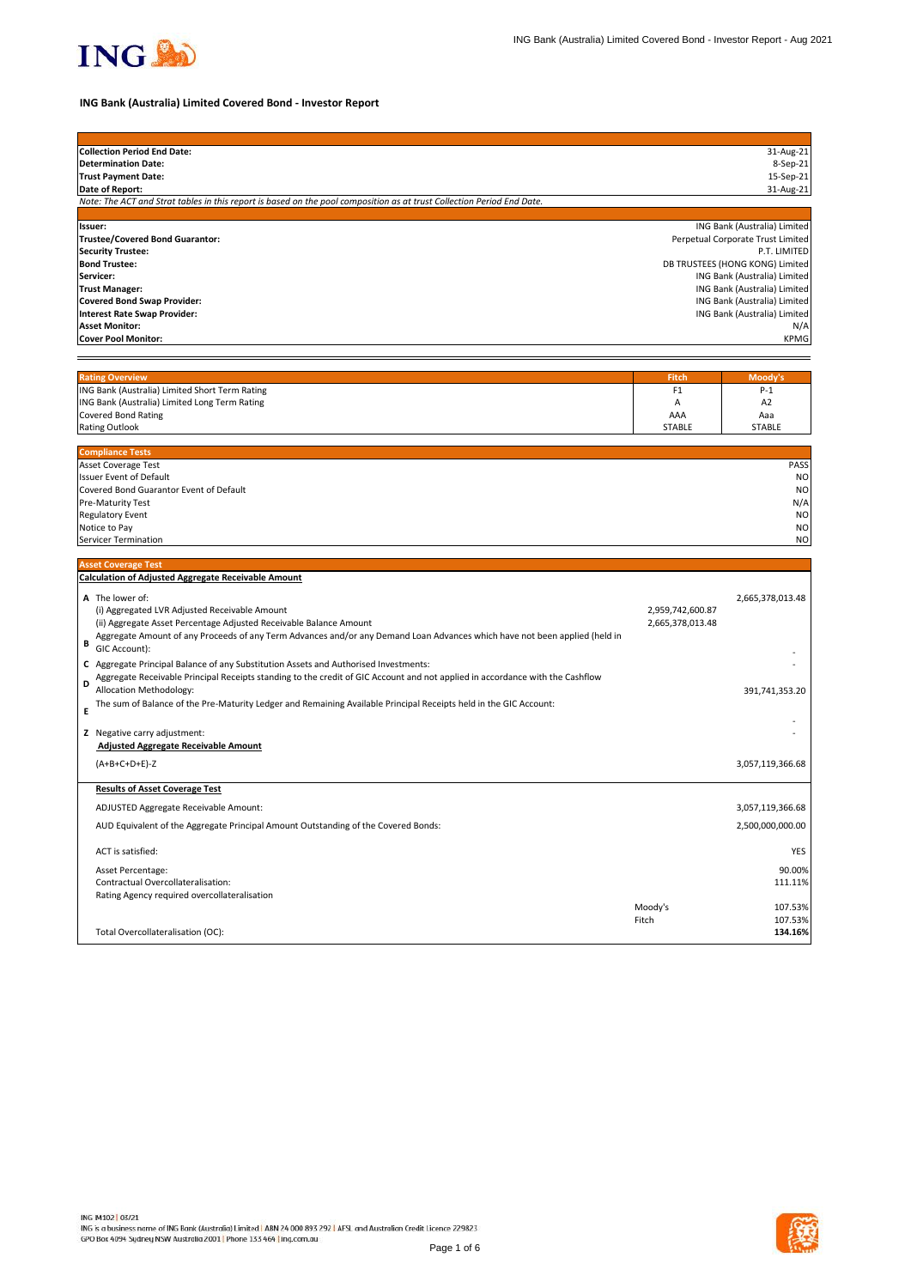# **ING Bank (Australia) Limited Covered Bond - Investor Report**

| <b>Collection Period End Date:</b>                                                                                     | 31-Aug-21                         |  |  |
|------------------------------------------------------------------------------------------------------------------------|-----------------------------------|--|--|
| Determination Date:                                                                                                    | 8-Sep-21                          |  |  |
| <b>Trust Payment Date:</b>                                                                                             | 15-Sep-21                         |  |  |
| Date of Report:                                                                                                        | 31-Aug-21                         |  |  |
| Note: The ACT and Strat tables in this report is based on the pool composition as at trust Collection Period End Date. |                                   |  |  |
|                                                                                                                        |                                   |  |  |
| llssuer:                                                                                                               | ING Bank (Australia) Limited      |  |  |
| <b>Trustee/Covered Bond Guarantor:</b>                                                                                 | Perpetual Corporate Trust Limited |  |  |
| <b>Security Trustee:</b>                                                                                               | P.T. LIMITED                      |  |  |
| <b>Bond Trustee:</b>                                                                                                   | DB TRUSTEES (HONG KONG) Limited   |  |  |
| <b>Servicer:</b>                                                                                                       | ING Bank (Australia) Limited      |  |  |
| <b>Trust Manager:</b>                                                                                                  | ING Bank (Australia) Limited      |  |  |
| Covered Bond Swap Provider:                                                                                            | ING Bank (Australia) Limited      |  |  |
| Interest Rate Swap Provider:                                                                                           | ING Bank (Australia) Limited      |  |  |
| <b>Asset Monitor:</b>                                                                                                  | N/A                               |  |  |
| Cover Pool Monitor:                                                                                                    | <b>KPMG</b>                       |  |  |
|                                                                                                                        |                                   |  |  |
|                                                                                                                        |                                   |  |  |
| Dating Overview                                                                                                        | <b>Mandule</b><br><b>Eitab</b>    |  |  |

| <b>Rating Overview</b>                         | <b>Fitch</b>  | Moodv's        |
|------------------------------------------------|---------------|----------------|
| ING Bank (Australia) Limited Short Term Rating |               | $P-1$          |
| ING Bank (Australia) Limited Long Term Rating  |               | A <sub>2</sub> |
| Covered Bond Rating                            | AAA           | Aaa            |
| <b>Rating Outlook</b>                          | <b>STABLE</b> | <b>STABLE</b>  |

| <b>Compliance Tests</b>                 |             |
|-----------------------------------------|-------------|
| <b>Asset Coverage Test</b>              | <b>PASS</b> |
| <b>Issuer Event of Default</b>          | <b>NO</b>   |
| Covered Bond Guarantor Event of Default | <b>NO</b>   |
| <b>Pre-Maturity Test</b>                | N/A         |
| <b>Regulatory Event</b>                 | <b>NO</b>   |
| Notice to Pay                           | <b>NO</b>   |
| Servicer Termination                    | <b>NO</b>   |

### **Asset Coverage Test**



|  | <b>Calculation of Adjusted Aggregate Receivable Amount</b> |  |
|--|------------------------------------------------------------|--|
|--|------------------------------------------------------------|--|

| B      | A The lower of:<br>(i) Aggregated LVR Adjusted Receivable Amount<br>(ii) Aggregate Asset Percentage Adjusted Receivable Balance Amount<br>Aggregate Amount of any Proceeds of any Term Advances and/or any Demand Loan Advances which have not been applied (held in<br>GIC Account):                                                                                 | 2,959,742,600.87<br>2,665,378,013.48 | 2,665,378,013.48                        |
|--------|-----------------------------------------------------------------------------------------------------------------------------------------------------------------------------------------------------------------------------------------------------------------------------------------------------------------------------------------------------------------------|--------------------------------------|-----------------------------------------|
| D<br>F | C Aggregate Principal Balance of any Substitution Assets and Authorised Investments:<br>Aggregate Receivable Principal Receipts standing to the credit of GIC Account and not applied in accordance with the Cashflow<br>Allocation Methodology:<br>The sum of Balance of the Pre-Maturity Ledger and Remaining Available Principal Receipts held in the GIC Account: |                                      | 391,741,353.20                          |
|        | Z Negative carry adjustment:<br><b>Adjusted Aggregate Receivable Amount</b>                                                                                                                                                                                                                                                                                           |                                      |                                         |
|        | $(A+B+C+D+E)-Z$                                                                                                                                                                                                                                                                                                                                                       |                                      | 3,057,119,366.68                        |
|        | <b>Results of Asset Coverage Test</b>                                                                                                                                                                                                                                                                                                                                 |                                      |                                         |
|        | ADJUSTED Aggregate Receivable Amount:                                                                                                                                                                                                                                                                                                                                 |                                      | 3,057,119,366.68                        |
|        | AUD Equivalent of the Aggregate Principal Amount Outstanding of the Covered Bonds:                                                                                                                                                                                                                                                                                    |                                      | 2,500,000,000.00                        |
|        | ACT is satisfied:                                                                                                                                                                                                                                                                                                                                                     |                                      | <b>YES</b>                              |
|        | Asset Percentage:<br>Contractual Overcollateralisation:<br>Rating Agency required overcollateralisation                                                                                                                                                                                                                                                               | Moody's<br>Fitch                     | 90.00%<br>111.11%<br>107.53%<br>107.53% |
|        | Total Overcollateralisation (OC):                                                                                                                                                                                                                                                                                                                                     |                                      | 134.16%                                 |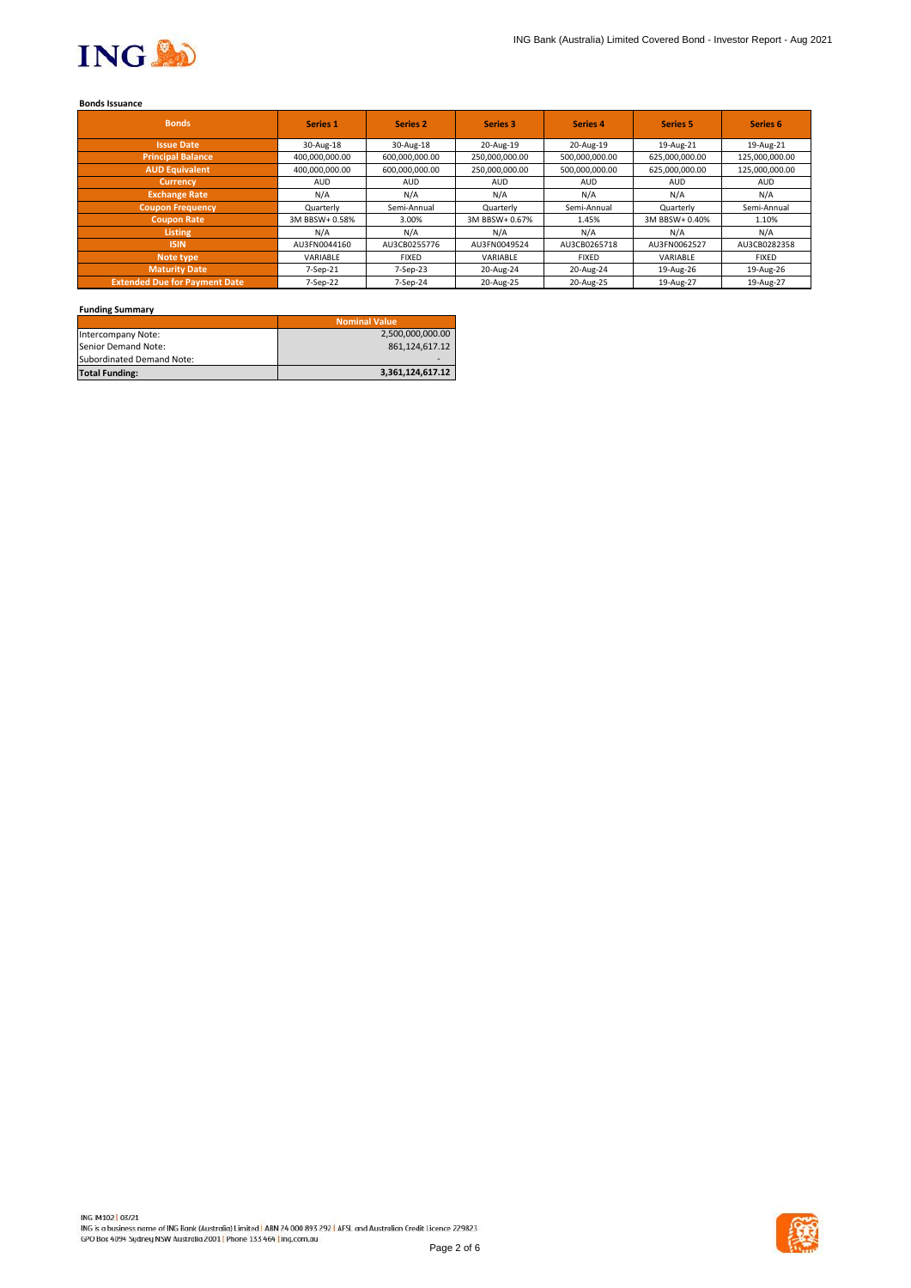

#### **Bonds Issuance**

| <b>Bonds</b>                         | <b>Series 1</b> | <b>Series 2</b> | <b>Series 3</b> | <b>Series 4</b> | <b>Series 5</b> | Series 6       |
|--------------------------------------|-----------------|-----------------|-----------------|-----------------|-----------------|----------------|
| <b>Issue Date</b>                    | 30-Aug-18       | 30-Aug-18       | 20-Aug-19       | 20-Aug-19       | 19-Aug-21       | 19-Aug-21      |
| <b>Principal Balance</b>             | 400,000,000.00  | 600,000,000.00  | 250,000,000.00  | 500,000,000.00  | 625,000,000.00  | 125,000,000.00 |
| <b>AUD Equivalent</b>                | 400,000,000.00  | 600,000,000.00  | 250,000,000.00  | 500,000,000.00  | 625,000,000.00  | 125,000,000.00 |
| <b>Currency</b>                      | <b>AUD</b>      | <b>AUD</b>      | <b>AUD</b>      | <b>AUD</b>      | <b>AUD</b>      | AUD.           |
| <b>Exchange Rate</b>                 | N/A             | N/A             | N/A             | N/A             | N/A             | N/A            |
| <b>Coupon Frequency</b>              | Quarterly       | Semi-Annual     | Quarterly       | Semi-Annual     | Quarterly       | Semi-Annual    |
| <b>Coupon Rate</b>                   | 3M BBSW+ 0.58%  | 3.00%           | 3M BBSW+ 0.67%  | 1.45%           | 3M BBSW+ 0.40%  | 1.10%          |
| <b>Listing</b>                       | N/A             | N/A             | N/A             | N/A             | N/A             | N/A            |
| <b>ISIN</b>                          | AU3FN0044160    | AU3CB0255776    | AU3FN0049524    | AU3CB0265718    | AU3FN0062527    | AU3CB0282358   |
| Note type                            | VARIABLE        | <b>FIXED</b>    | VARIABLE        | <b>FIXED</b>    | VARIABLE        | <b>FIXED</b>   |
| Maturity Date                        | $7-Sep-21$      | 7-Sep-23        | 20-Aug-24       | 20-Aug-24       | 19-Aug-26       | 19-Aug-26      |
| <b>Extended Due for Payment Date</b> | 7-Sep-22        | $7-Sep-24$      | 20-Aug-25       | 20-Aug-25       | 19-Aug-27       | 19-Aug-27      |

## **Funding Summary**

|                              | <b>Nominal Value</b> |
|------------------------------|----------------------|
| Intercompany Note:           | 2,500,000,000.00     |
| <b>I</b> Senior Demand Note: | 861,124,617.12       |
| Subordinated Demand Note:    |                      |
| <b>Total Funding:</b>        | 3,361,124,617.12     |

ING IM102 03/21 ING is a business name of ING Bank (Australia) Limited | ABN 24 000 893 292 | AFSL and Australian Credit Licence 229823 GPO Box 4094 Sydney NSW Australia 2001 | Phone 133 464 | ing.com.au



Page 2 of 6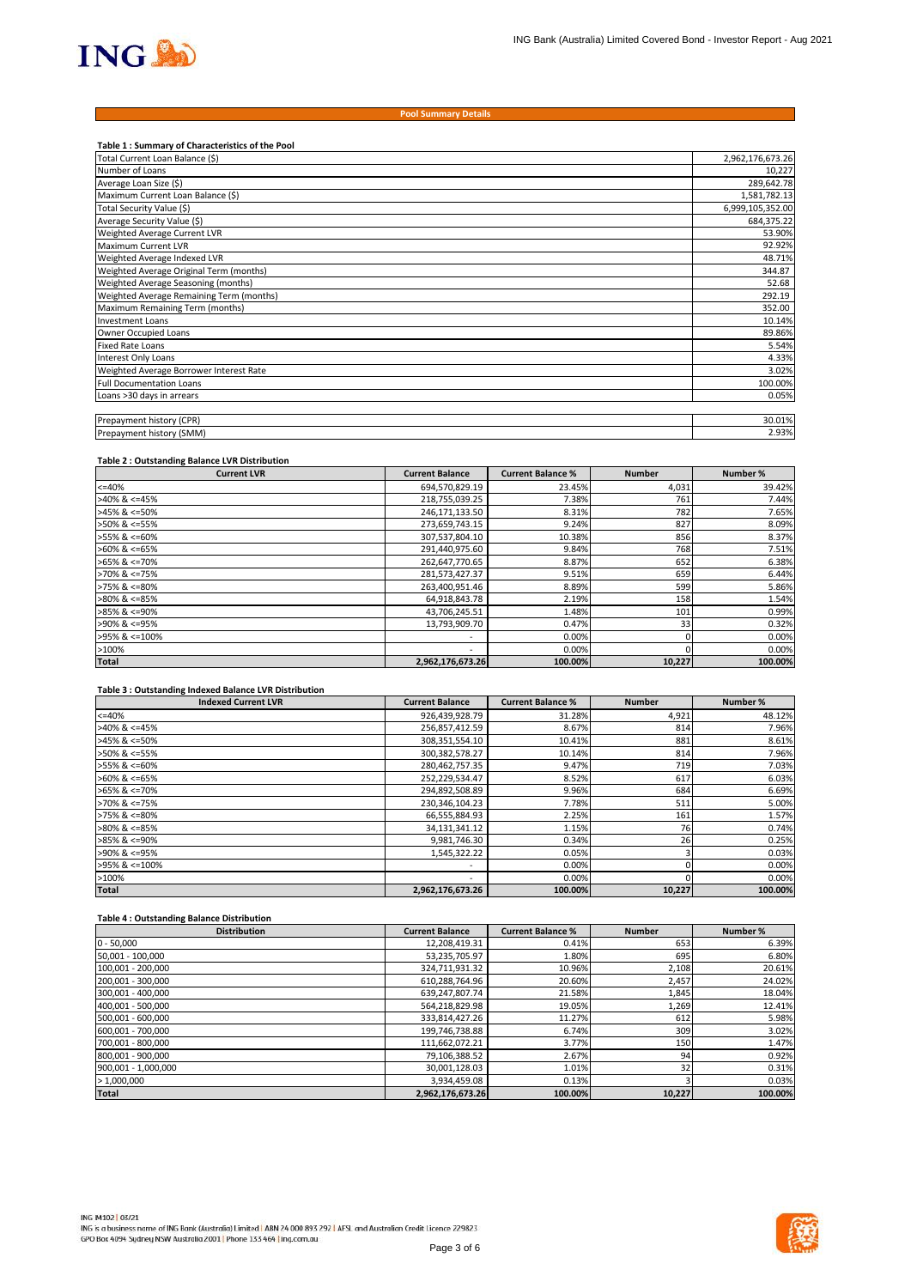

| Table 1 : Summary of Characteristics of the Pool |                  |
|--------------------------------------------------|------------------|
| Total Current Loan Balance (\$)                  | 2,962,176,673.26 |
| Number of Loans                                  | 10,227           |
| Average Loan Size (\$)                           | 289,642.78       |
| Maximum Current Loan Balance (\$)                | 1,581,782.13     |
| Total Security Value (\$)                        | 6,999,105,352.00 |
| Average Security Value (\$)                      | 684,375.22       |
| Weighted Average Current LVR                     | 53.90%           |
| Maximum Current LVR                              | 92.92%           |
| Weighted Average Indexed LVR                     | 48.71%           |
| Weighted Average Original Term (months)          | 344.87           |
| Weighted Average Seasoning (months)              | 52.68            |
| Weighted Average Remaining Term (months)         | 292.19           |
| Maximum Remaining Term (months)                  | 352.00           |
| <b>Investment Loans</b>                          | 10.14%           |
| Owner Occupied Loans                             | 89.86%           |
| <b>Fixed Rate Loans</b>                          | 5.54%            |
| Interest Only Loans                              | 4.33%            |
| Weighted Average Borrower Interest Rate          | 3.02%            |
| <b>Full Documentation Loans</b>                  | 100.00%          |
| Loans >30 days in arrears                        | 0.05%            |
| <b>Prepayment history (CPR)</b>                  | 30.01%           |
|                                                  |                  |

| $'$ $\cap$ $\mathsf{PR}$ )<br>Prepa<br>/men'<br>` history .<br>. UI | <u>n</u><br>- 70.01.70         |
|---------------------------------------------------------------------|--------------------------------|
| Prepa<br>: historv<br>(SMM'<br>men                                  | $\sim$ $\sim$ $\sim$<br>2.9370 |

### **Table 2 : Outstanding Balance LVR Distribution**

### **Table 3 : Outstanding Indexed Balance LVR Distribution**

| <b>Distribution</b> | <b>Current Balance</b> | <b>Current Balance %</b> | <b>Number</b> | Number % |
|---------------------|------------------------|--------------------------|---------------|----------|
| $0 - 50,000$        | 12,208,419.31          | 0.41%                    | 653           | 6.39%    |
| 50,001 - 100,000    | 53,235,705.97          | 1.80%                    | 695           | 6.80%    |
| 100,001 - 200,000   | 324,711,931.32         | 10.96%                   | 2,108         | 20.61%   |
| 200,001 - 300,000   | 610,288,764.96         | 20.60%                   | 2,457         | 24.02%   |
| 300,001 - 400,000   | 639,247,807.74         | 21.58%                   | 1,845         | 18.04%   |
| 400,001 - 500,000   | 564,218,829.98         | 19.05%                   | 1,269         | 12.41%   |
| 500,001 - 600,000   | 333,814,427.26         | 11.27%                   | 612           | 5.98%    |
| 600,001 - 700,000   | 199,746,738.88         | 6.74%                    | 309           | 3.02%    |
| 700,001 - 800,000   | 111,662,072.21         | 3.77%                    | 150           | 1.47%    |
| 800,001 - 900,000   | 79,106,388.52          | 2.67%                    | 94            | 0.92%    |
| 900,001 - 1,000,000 | 30,001,128.03          | 1.01%                    | 32            | 0.31%    |
| >1,000,000          | 3,934,459.08           | 0.13%                    |               | 0.03%    |
| <b>Total</b>        | 2,962,176,673.26       | 100.00%                  | 10,227        | 100.00%  |

**Table 4 : Outstanding Balance Distribution**

ING IM102 03/21 ING is a business name of ING Bank (Australia) Limited | ABN 24 000 893 292 | AFSL and Australian Credit Licence 229823 GPO Box 4094 Sydney NSW Australia 2001 | Phone 133 464 | ing.com.au



| <b>Current LVR</b> | <b>Current Balance</b>   | <b>Current Balance %</b> | <b>Number</b>   | Number % |
|--------------------|--------------------------|--------------------------|-----------------|----------|
| $<=40%$            | 694,570,829.19           | 23.45%                   | 4,031           | 39.42%   |
| $>40\%$ & <=45%    | 218,755,039.25           | 7.38%                    | 761             | 7.44%    |
| >45% & <=50%       | 246,171,133.50           | 8.31%                    | 782             | 7.65%    |
| >50% & <=55%       | 273,659,743.15           | 9.24%                    | 827             | 8.09%    |
| >55% & <=60%       | 307,537,804.10           | 10.38%                   | 856             | 8.37%    |
| $>60\%$ & <=65%    | 291,440,975.60           | 9.84%                    | 768             | 7.51%    |
| $>65\%$ & <=70%    | 262,647,770.65           | 8.87%                    | 652             | 6.38%    |
| >70% & <=75%       | 281,573,427.37           | 9.51%                    | 659             | 6.44%    |
| >75% & <=80%       | 263,400,951.46           | 8.89%                    | 599             | 5.86%    |
| >80% & <=85%       | 64,918,843.78            | 2.19%                    | 158             | 1.54%    |
| >85% & <=90%       | 43,706,245.51            | 1.48%                    | 101             | 0.99%    |
| >90% & <=95%       | 13,793,909.70            | 0.47%                    | 33 <sub>1</sub> | 0.32%    |
| >95% & <=100%      | $\overline{\phantom{a}}$ | 0.00%                    |                 | 0.00%    |
| >100%              | $\overline{\phantom{a}}$ | 0.00%                    |                 | 0.00%    |
| <b>Total</b>       | 2,962,176,673.26         | 100.00%                  | 10,227          | 100.00%  |

| <b>Indexed Current LVR</b> | <b>Current Balance</b>   | <b>Current Balance %</b> | <b>Number</b> | Number % |
|----------------------------|--------------------------|--------------------------|---------------|----------|
| $<=40%$                    | 926,439,928.79           | 31.28%                   | 4,921         | 48.12%   |
| >40% & <=45%               | 256,857,412.59           | 8.67%                    | 814           | 7.96%    |
| >45% & <=50%               | 308,351,554.10           | 10.41%                   | 881           | 8.61%    |
| >50% & <=55%               | 300, 382, 578. 27        | 10.14%                   | 814           | 7.96%    |
| >55% & <=60%               | 280,462,757.35           | 9.47%                    | 719           | 7.03%    |
| $>60\%$ & <=65%            | 252,229,534.47           | 8.52%                    | 617           | 6.03%    |
| $>65\%$ & <=70%            | 294,892,508.89           | 9.96%                    | 684           | 6.69%    |
| >70% & <=75%               | 230,346,104.23           | 7.78%                    | 511           | 5.00%    |
| >75% & <=80%               | 66,555,884.93            | 2.25%                    | 161           | 1.57%    |
| >80% & <=85%               | 34,131,341.12            | 1.15%                    | <b>76</b>     | 0.74%    |
| >85% & <=90%               | 9,981,746.30             | 0.34%                    | <b>26</b>     | 0.25%    |
| >90% & <=95%               | 1,545,322.22             | 0.05%                    |               | 0.03%    |
| $>95\%$ & $\leq 100\%$     | $\overline{\phantom{a}}$ | 0.00%                    |               | 0.00%    |
| >100%                      | $\overline{\phantom{0}}$ | 0.00%                    |               | 0.00%    |
| <b>Total</b>               | 2,962,176,673.26         | 100.00%                  | 10,227        | 100.00%  |

# **Pool Summary Details**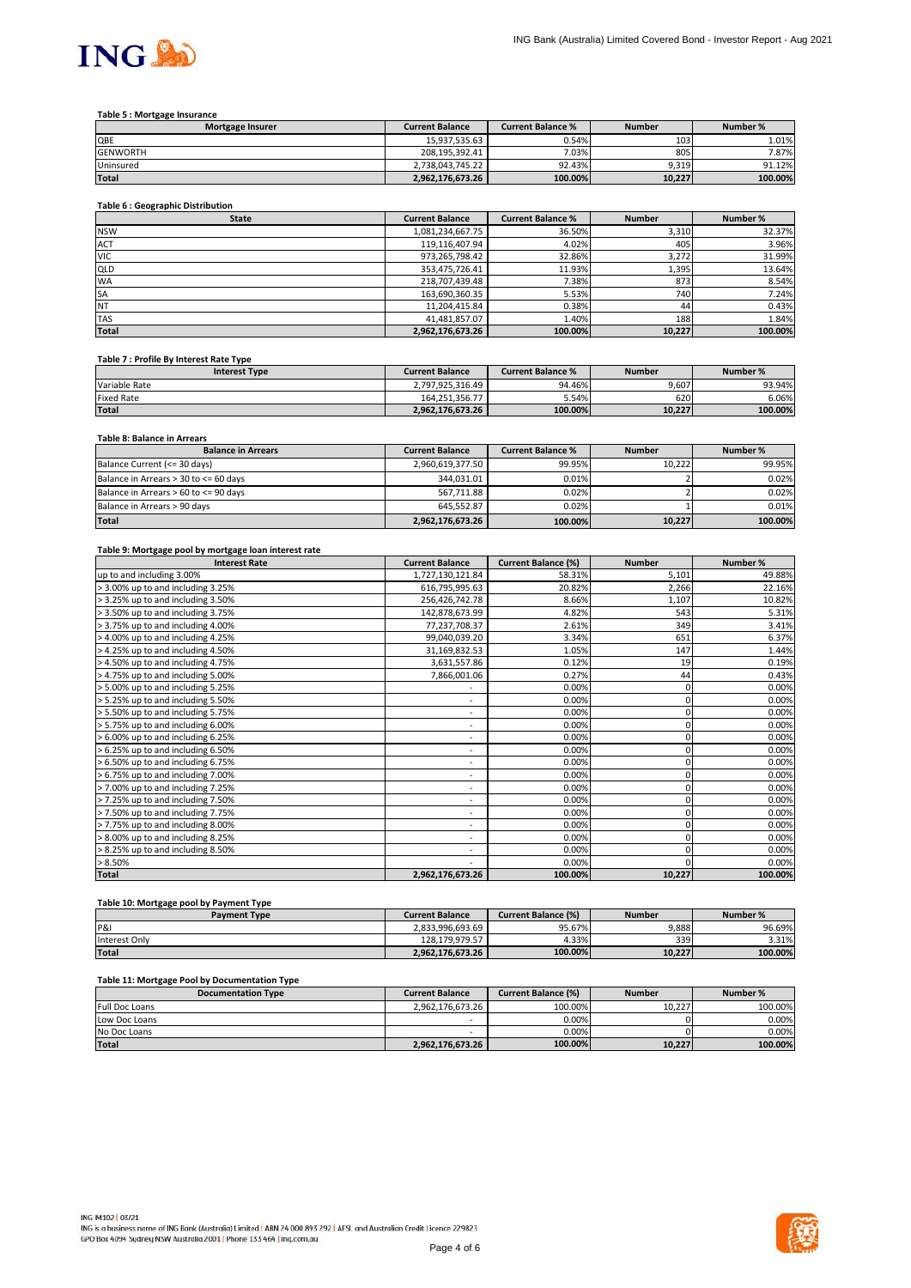

### **Table 5 : Mortgage Insurance**

### **Table 6 : Geographic Distribution**

### **Table 7 : Profile By Interest Rate Type**

#### **Table 8: Balance in Arrears**

#### **Table 9: Mortgage pool by mortgage loan interest rate**

| <b>Mortgage Insurer</b> | <b>Current Balance</b> | <b>Current Balance %</b> | <b>Number</b>    | Number % |
|-------------------------|------------------------|--------------------------|------------------|----------|
| <b>QBE</b>              | 15,937,535.63          | 0.54%                    | 103 <sub>l</sub> | 1.01%    |
| <b>GENWORTH</b>         | 208,195,392.41         | 7.03%                    | 805              | 7.87%    |
| Uninsured               | 2.738.043.745.22       | 92.43%                   | 9,319            | 91.12%   |
| <b>Total</b>            | 2,962,176,673.26       | 100.00%                  | 10,227           | 100.00%  |

| <b>Interest Type</b> | <b>Current Balance</b> | <b>Current Balance %</b> | <b>Number</b> | Number % |
|----------------------|------------------------|--------------------------|---------------|----------|
| Variable Rate        | 2,797,925,316.49       | 94.46%                   | 9,607         | 93.94%   |
| <b>Fixed Rate</b>    | 164.251.356.77         | 5.54%                    | 620 <b>1</b>  | 6.06%    |
| <b>Total</b>         | 2,962,176,673.26       | 100.00%                  | 10,227        | 100.00%  |

| <b>State</b> | <b>Current Balance</b> | <b>Current Balance %</b> | <b>Number</b> | Number % |
|--------------|------------------------|--------------------------|---------------|----------|
| <b>NSW</b>   | 1,081,234,667.75       | 36.50%                   | 3,310         | 32.37%   |
| <b>ACT</b>   | 119,116,407.94         | 4.02%                    | 405           | 3.96%    |
| <b>VIC</b>   | 973,265,798.42         | 32.86%                   | 3,272         | 31.99%   |
| <b>QLD</b>   | 353,475,726.41         | 11.93%                   | 1,395         | 13.64%   |
| <b>WA</b>    | 218,707,439.48         | 7.38%                    | 873           | 8.54%    |
| <b>SA</b>    | 163,690,360.35         | 5.53%                    | 740           | 7.24%    |
| <b>NT</b>    | 11,204,415.84          | 0.38%                    | 44            | 0.43%    |
| <b>TAS</b>   | 41,481,857.07          | 1.40%                    | 188           | 1.84%    |
| Total        | 2,962,176,673.26       | 100.00%                  | 10,227        | 100.00%  |

| <b>Balance in Arrears</b>                   | <b>Current Balance</b> | <b>Current Balance %</b> | <b>Number</b> | Number % |
|---------------------------------------------|------------------------|--------------------------|---------------|----------|
| Balance Current (<= 30 days)                | 2,960,619,377.50       | 99.95%                   | 10.222        | 99.95%   |
| Balance in Arrears $>$ 30 to $\leq$ 60 days | 344,031.01             | 0.01%                    |               | 0.02%    |
| Balance in Arrears $> 60$ to $\leq$ 90 days | 567,711.88             | 0.02%                    |               | 0.02%    |
| Balance in Arrears > 90 days                | 645.552.87             | 0.02%                    |               | $0.01\%$ |
| <b>Total</b>                                | 2,962,176,673.26       | 100.00%                  | 10,227        | 100.00%  |

| <b>Interest Rate</b>              | <b>Current Balance</b>       | <b>Current Balance (%)</b> | <b>Number</b> | Number % |
|-----------------------------------|------------------------------|----------------------------|---------------|----------|
| up to and including 3.00%         | 1,727,130,121.84             | 58.31%                     | 5,101         | 49.88%   |
| > 3.00% up to and including 3.25% | 616,795,995.63               | 20.82%                     | 2,266         | 22.16%   |
| > 3.25% up to and including 3.50% | 256,426,742.78               | 8.66%                      | 1,107         | 10.82%   |
| > 3.50% up to and including 3.75% | 142,878,673.99               | 4.82%                      | 543           | 5.31%    |
| > 3.75% up to and including 4.00% | 77,237,708.37                | 2.61%                      | 349           | 3.41%    |
| 4.00% up to and including 4.25%   | 99,040,039.20                | 3.34%                      | 651           | 6.37%    |
| 4.25% up to and including 4.50%   | 31,169,832.53                | 1.05%                      | 147           | 1.44%    |
| > 4.50% up to and including 4.75% | 3,631,557.86                 | 0.12%                      | 19            | 0.19%    |
| > 4.75% up to and including 5.00% | 7,866,001.06                 | 0.27%                      | 44            | 0.43%    |
| > 5.00% up to and including 5.25% |                              | 0.00%                      |               | 0.00%    |
| > 5.25% up to and including 5.50% | $\overline{\phantom{a}}$     | 0.00%                      | $\Omega$      | 0.00%    |
| > 5.50% up to and including 5.75% | $\qquad \qquad \blacksquare$ | 0.00%                      | 0             | 0.00%    |
| > 5.75% up to and including 6.00% | $\overline{\phantom{a}}$     | 0.00%                      | 0             | 0.00%    |
| > 6.00% up to and including 6.25% | $\qquad \qquad \blacksquare$ | 0.00%                      |               | 0.00%    |
| 6.25% up to and including 6.50%   | $\overline{\phantom{a}}$     | 0.00%                      |               | 0.00%    |
| > 6.50% up to and including 6.75% | $\overline{\phantom{a}}$     | 0.00%                      |               | 0.00%    |
| > 6.75% up to and including 7.00% | -                            | 0.00%                      |               | 0.00%    |
| > 7.00% up to and including 7.25% | $\overline{\phantom{a}}$     | 0.00%                      |               | 0.00%    |
| > 7.25% up to and including 7.50% | $\overline{\phantom{a}}$     | 0.00%                      | $\Omega$      | 0.00%    |
| > 7.50% up to and including 7.75% | $\overline{\phantom{a}}$     | 0.00%                      | $\Omega$      | 0.00%    |
| > 7.75% up to and including 8.00% | $\qquad \qquad \blacksquare$ | 0.00%                      |               | 0.00%    |
| > 8.00% up to and including 8.25% | $\overline{\phantom{a}}$     | 0.00%                      |               | 0.00%    |
| > 8.25% up to and including 8.50% | $\overline{\phantom{a}}$     | 0.00%                      | C             | 0.00%    |
| $> 8.50\%$                        | $\qquad \qquad \blacksquare$ | 0.00%                      |               | 0.00%    |
| <b>Total</b>                      | 2,962,176,673.26             | 100.00%                    | 10,227        | 100.00%  |

#### **Table 10: Mortgage pool by Payment Type**

### **Table 11: Mortgage Pool by Documentation Type**

| .<br><b>Payment Type</b> | <b>Current Balance</b> | <b>Current Balance (%)</b> | <b>Number</b> | Number % |
|--------------------------|------------------------|----------------------------|---------------|----------|
| P&                       | 2.833.996.693.69       | 95.67%                     | 9,888         | 96.69%   |
| Interest Only            | 128.179.979.57         | 4.33%                      | 339           | 3.31%    |
| Total                    | 2,962,176,673.26       | 100.00%                    | 10,227        | 100.00%  |

| <b>Documentation Type</b> | <b>Current Balance</b> | Current Balance (%) | <b>Number</b> | Number % |
|---------------------------|------------------------|---------------------|---------------|----------|
| <b>Full Doc Loans</b>     | 2,962,176,673.26       | 100.00%             | 10.227        | 100.00%  |
| Low Doc Loans             |                        | 0.00%               |               | $0.00\%$ |
| No Doc Loans              |                        | 0.00%               |               | $0.00\%$ |
| Total                     | 2,962,176,673.26       | 100.00%             | 10,227        | 100.00%  |

ING IM102 03/21 ING is a business name of ING Bank (Australia) Limited | ABN 24 000 893 292 | AFSL and Australian Credit Licence 229823 GPO Box 4094 Sydney NSW Australia 2001 | Phone 133 464 | ing.com.au

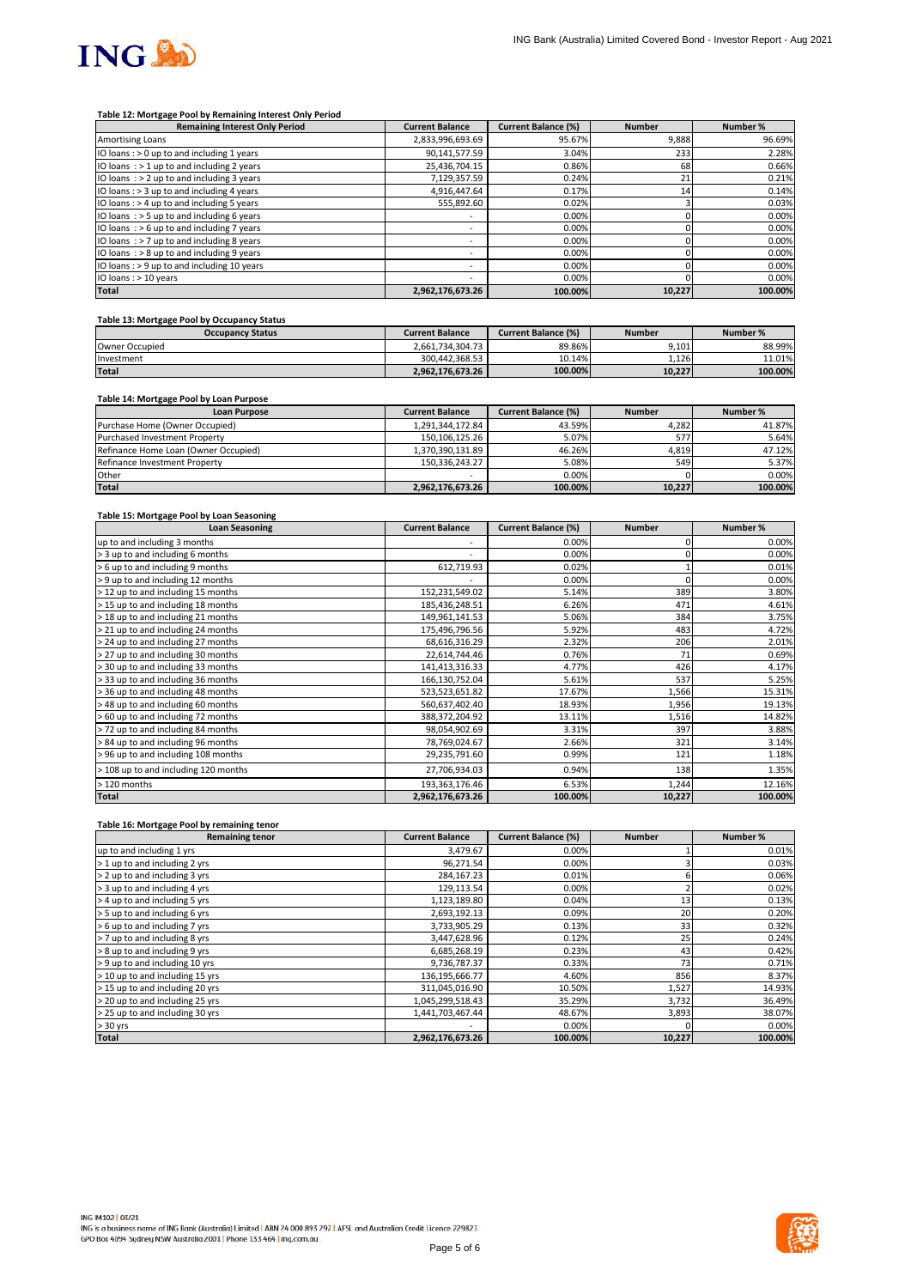

### **Table 12: Mortgage Pool by Remaining Interest Only Period**

### **Table 13: Mortgage Pool by Occupancy Status**

#### **Table 14: Mortgage Pool by Loan Purpose**

#### **Table 15: Mortgage Pool by Loan Seasoning**

| <b>Remaining Interest Only Period</b>         | <b>Current Balance</b>   | <b>Current Balance (%)</b> | <b>Number</b>   | Number % |
|-----------------------------------------------|--------------------------|----------------------------|-----------------|----------|
| <b>Amortising Loans</b>                       | 2,833,996,693.69         | 95.67%                     | 9,888           | 96.69%   |
| IO loans : $> 0$ up to and including 1 years  | 90,141,577.59            | 3.04%                      | 233             | 2.28%    |
| IO loans $:$ > 1 up to and including 2 years  | 25,436,704.15            | 0.86%                      | 68              | 0.66%    |
| IO loans $\div$ 2 up to and including 3 years | 7,129,357.59             | 0.24%                      | 21              | 0.21%    |
| IO loans : $>$ 3 up to and including 4 years  | 4,916,447.64             | 0.17%                      | 14 <sub>1</sub> | 0.14%    |
| IO loans: $> 4$ up to and including 5 years   | 555,892.60               | 0.02%                      |                 | 0.03%    |
| IO loans $\div$ 5 up to and including 6 years | $\overline{\phantom{a}}$ | 0.00%                      |                 | 0.00%    |
| IO loans $:$ > 6 up to and including 7 years  | $\overline{\phantom{a}}$ | 0.00%                      |                 | 0.00%    |
| IO loans $\div$ 7 up to and including 8 years | $\overline{\phantom{0}}$ | 0.00%                      |                 | 0.00%    |
| IO loans $:$ > 8 up to and including 9 years  | $\overline{\phantom{a}}$ | 0.00%                      |                 | 0.00%    |
| IO loans: > 9 up to and including 10 years    | $\overline{\phantom{a}}$ | 0.00%                      |                 | 0.00%    |
| IO loans : > 10 years                         |                          | 0.00%                      |                 | 0.00%    |
| <b>Total</b>                                  | 2,962,176,673.26         | 100.00%                    | 10,227          | 100.00%  |

### **Table 16: Mortgage Pool by remaining tenor**

| <b>Occupancy Status</b> | <b>Current Balance</b> | <b>Current Balance (%)</b> | <b>Number</b> | Number % |
|-------------------------|------------------------|----------------------------|---------------|----------|
| Owner Occupied          | 2,661,734,304.73       | 89.86%                     | 9,101         | 88.99%   |
| Investment              | 300.442.368.53         | 10.14%                     | 1,126         | 11.01%   |
| <b>Total</b>            | 2,962,176,673.26       | 100.00%                    | 10,227        | 100.00%  |

| <b>Loan Purpose</b>                  | <b>Current Balance</b> | <b>Current Balance (%)</b> | <b>Number</b> | Number % |
|--------------------------------------|------------------------|----------------------------|---------------|----------|
| Purchase Home (Owner Occupied)       | 1,291,344,172.84       | 43.59%                     | 4,282         | 41.87%   |
| <b>Purchased Investment Property</b> | 150,106,125.26         | 5.07%                      | 577           | 5.64%    |
| Refinance Home Loan (Owner Occupied) | 1,370,390,131.89       | 46.26%                     | 4,819         | 47.12%   |
| Refinance Investment Property        | 150.336.243.27         | 5.08%                      | 549           | 5.37%    |
| <b>Other</b>                         |                        | $0.00\%$                   |               | $0.00\%$ |
| <b>Total</b>                         | 2,962,176,673.26       | 100.00%                    | 10,227        | 100.00%  |

| <b>Loan Seasoning</b>                | <b>Current Balance</b>   | <b>Current Balance (%)</b> | <b>Number</b> | Number % |
|--------------------------------------|--------------------------|----------------------------|---------------|----------|
| up to and including 3 months         | $\overline{\phantom{a}}$ | 0.00%                      |               | 0.00%    |
| > 3 up to and including 6 months     | $\overline{\phantom{a}}$ | 0.00%                      |               | 0.00%    |
| > 6 up to and including 9 months     | 612,719.93               | 0.02%                      |               | 0.01%    |
| > 9 up to and including 12 months    |                          | 0.00%                      |               | 0.00%    |
| > 12 up to and including 15 months   | 152,231,549.02           | 5.14%                      | 389           | 3.80%    |
| > 15 up to and including 18 months   | 185,436,248.51           | 6.26%                      | 471           | 4.61%    |
| > 18 up to and including 21 months   | 149,961,141.53           | 5.06%                      | 384           | 3.75%    |
| > 21 up to and including 24 months   | 175,496,796.56           | 5.92%                      | 483           | 4.72%    |
| > 24 up to and including 27 months   | 68,616,316.29            | 2.32%                      | 206           | 2.01%    |
| > 27 up to and including 30 months   | 22,614,744.46            | 0.76%                      | 71            | 0.69%    |
| > 30 up to and including 33 months   | 141,413,316.33           | 4.77%                      | 426           | 4.17%    |
| > 33 up to and including 36 months   | 166,130,752.04           | 5.61%                      | 537           | 5.25%    |
| > 36 up to and including 48 months   | 523,523,651.82           | 17.67%                     | 1,566         | 15.31%   |
| > 48 up to and including 60 months   | 560,637,402.40           | 18.93%                     | 1,956         | 19.13%   |
| > 60 up to and including 72 months   | 388,372,204.92           | 13.11%                     | 1,516         | 14.82%   |
| > 72 up to and including 84 months   | 98,054,902.69            | 3.31%                      | 397           | 3.88%    |
| > 84 up to and including 96 months   | 78,769,024.67            | 2.66%                      | 321           | 3.14%    |
| > 96 up to and including 108 months  | 29,235,791.60            | 0.99%                      | 121           | 1.18%    |
| > 108 up to and including 120 months | 27,706,934.03            | 0.94%                      | 138           | 1.35%    |
| > 120 months                         | 193, 363, 176.46         | 6.53%                      | 1,244         | 12.16%   |
| <b>Total</b>                         | 2,962,176,673.26         | 100.00%                    | 10,227        | 100.00%  |

| <b>Remaining tenor</b>          | <b>Current Balance</b> | <b>Current Balance (%)</b> | <b>Number</b> | Number % |
|---------------------------------|------------------------|----------------------------|---------------|----------|
| up to and including 1 yrs       | 3,479.67               | 0.00%                      |               | 0.01%    |
| > 1 up to and including 2 yrs   | 96,271.54              | 0.00%                      |               | 0.03%    |
| > 2 up to and including 3 yrs   | 284,167.23             | 0.01%                      |               | 0.06%    |
| > 3 up to and including 4 yrs   | 129,113.54             | 0.00%                      |               | 0.02%    |
| > 4 up to and including 5 yrs   | 1,123,189.80           | 0.04%                      | 13            | 0.13%    |
| > 5 up to and including 6 yrs   | 2,693,192.13           | 0.09%                      | 20            | 0.20%    |
| > 6 up to and including 7 yrs   | 3,733,905.29           | 0.13%                      | 33            | 0.32%    |
| > 7 up to and including 8 yrs   | 3,447,628.96           | 0.12%                      | 25            | 0.24%    |
| > 8 up to and including 9 yrs   | 6,685,268.19           | 0.23%                      | 43            | 0.42%    |
| > 9 up to and including 10 yrs  | 9,736,787.37           | 0.33%                      | 73            | 0.71%    |
| > 10 up to and including 15 yrs | 136,195,666.77         | 4.60%                      | 856           | 8.37%    |
| > 15 up to and including 20 yrs | 311,045,016.90         | 10.50%                     | 1,527         | 14.93%   |
| > 20 up to and including 25 yrs | 1,045,299,518.43       | 35.29%                     | 3,732         | 36.49%   |
| > 25 up to and including 30 yrs | 1,441,703,467.44       | 48.67%                     | 3,893         | 38.07%   |
| $> 30$ yrs                      |                        | $0.00\%$                   |               | 0.00%    |
| <b>Total</b>                    | 2,962,176,673.26       | 100.00%                    | 10,227        | 100.00%  |

ING IM102 03/21 ING is a business name of ING Bank (Australia) Limited | ABN 24 000 893 292 | AFSL and Australian Credit Licence 229823 GPO Box 4094 Sydney NSW Australia 2001 | Phone 133 464 | ing.com.au